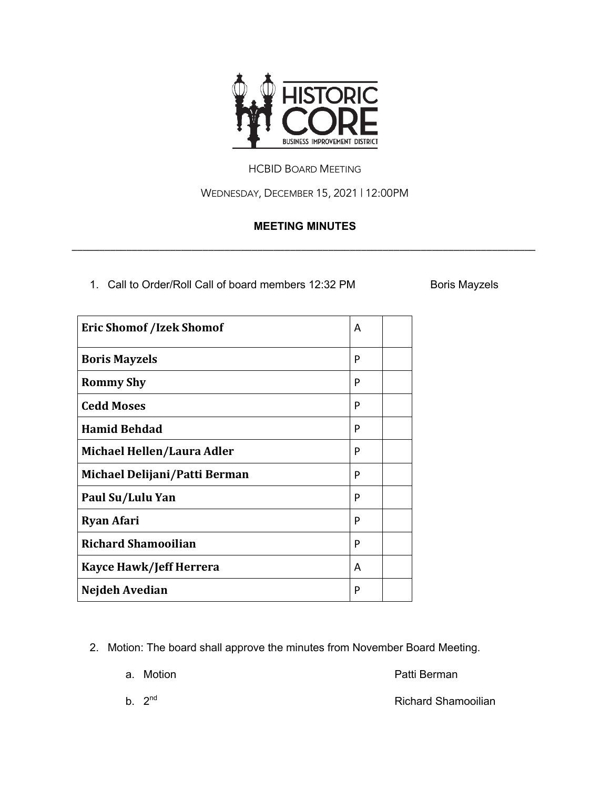

## HCBID BOARD MEETING

WEDNESDAY, DECEMBER 15, 2021 | 12:00PM

## **MEETING MINUTES**

\_\_\_\_\_\_\_\_\_\_\_\_\_\_\_\_\_\_\_\_\_\_\_\_\_\_\_\_\_\_\_\_\_\_\_\_\_\_\_\_\_\_\_\_\_\_\_\_\_\_\_\_\_\_\_\_\_\_\_\_\_\_\_\_\_\_\_\_\_\_\_\_\_\_\_\_\_\_\_\_\_\_\_\_\_

1. Call to Order/Roll Call of board members 12:32 PM Boris Mayzels

| <b>Eric Shomof /Izek Shomof</b> | A |  |
|---------------------------------|---|--|
| <b>Boris Mayzels</b>            | P |  |
| <b>Rommy Shy</b>                | P |  |
| <b>Cedd Moses</b>               | P |  |
| <b>Hamid Behdad</b>             | P |  |
| Michael Hellen/Laura Adler      | P |  |
| Michael Delijani/Patti Berman   | P |  |
| Paul Su/Lulu Yan                | P |  |
| <b>Ryan Afari</b>               | P |  |
| <b>Richard Shamooilian</b>      | P |  |
| <b>Kayce Hawk/Jeff Herrera</b>  | A |  |
| Nejdeh Avedian                  | P |  |

2. Motion: The board shall approve the minutes from November Board Meeting.

a. Motion **Patti Berman** 

b. 2<sup>nd</sup> Richard Shamooilian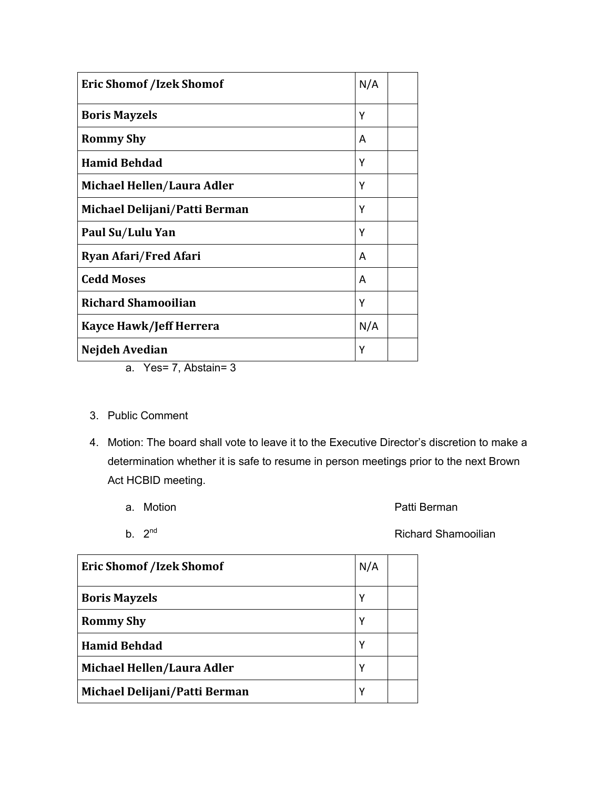| <b>Eric Shomof /Izek Shomof</b> | N/A |
|---------------------------------|-----|
| <b>Boris Mayzels</b>            | Υ   |
| <b>Rommy Shy</b>                | A   |
| <b>Hamid Behdad</b>             | Y   |
| Michael Hellen/Laura Adler      | Υ   |
| Michael Delijani/Patti Berman   | Υ   |
| Paul Su/Lulu Yan                | Υ   |
| <b>Ryan Afari/Fred Afari</b>    | A   |
| <b>Cedd Moses</b>               | A   |
| <b>Richard Shamooilian</b>      | γ   |
| <b>Kayce Hawk/Jeff Herrera</b>  | N/A |
| Nejdeh Avedian                  | Υ   |

- a. Yes= 7, Abstain= 3
- 3. Public Comment
- 4. Motion: The board shall vote to leave it to the Executive Director's discretion to make a determination whether it is safe to resume in person meetings prior to the next Brown Act HCBID meeting.
	-
	- a. Motion **a.** Motion **Patti Berman**
	-

b. 2<sup>nd</sup> Richard Shamooilian

| <b>Eric Shomof /Izek Shomof</b> | N/A |  |
|---------------------------------|-----|--|
| <b>Boris Mayzels</b>            | Υ   |  |
| <b>Rommy Shy</b>                | Υ   |  |
| <b>Hamid Behdad</b>             | Υ   |  |
| Michael Hellen/Laura Adler      | Υ   |  |
| Michael Delijani/Patti Berman   | γ   |  |